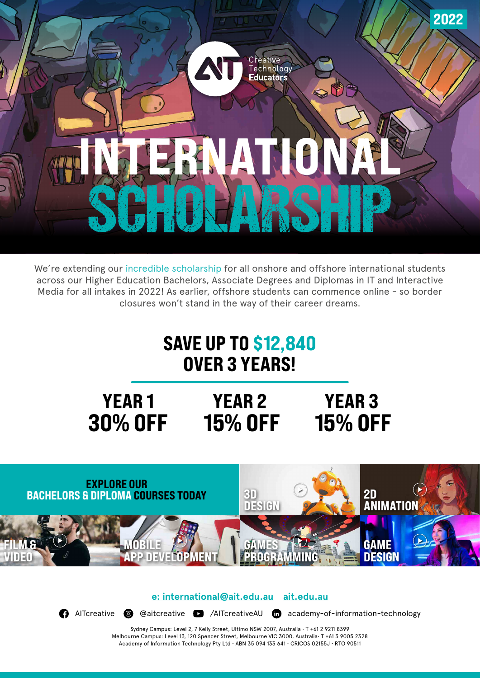

We're extending our incredible scholarship for all onshore and offshore international students across our Higher Education Bachelors, Associate Degrees and Diplomas in IT and Interactive Media for all intakes in 2022! As earlier, offshore students can commence online - so border closures won't stand in the way of their career dreams.

## SAVE UP TO \$12,840 OVER 3 YEARS!

## YEAR 1 YEAR 2 30% OFF 15% OFF 15% OFF YEAR 3



**[e: international@ait.edu.au](mailto:%20international%40ait.edu.au?subject=) [ait.edu.au](http://ait.edu.au)**

[AITcreative](https://www.facebook.com/AITcreative) **@** [@aitcreative](https://www.instagram.com/aitcreative/) **@** [/AITcreativeAU](https://www.youtube.com/user/AITsydney) @ [academy-of-information-technology](https://www.linkedin.com/school/academy-of-information-technology/)

Sydney Campus: Level 2, 7 Kelly Street, Ultimo NSW 2007, Australia • T +61 2 9211 8399 Melbourne Campus: Level 13, 120 Spencer Street, Melbourne VIC 3000, Australia• T +61 3 9005 2328 Academy of Information Technology Pty Ltd • ABN 35 094 133 641 • CRICOS 02155J • RTO 90511